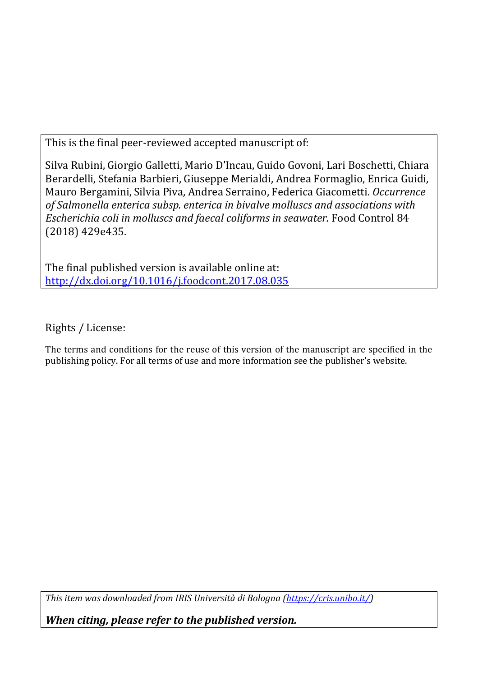This is the final peer-reviewed accepted manuscript of:

Silva Rubini, Giorgio Galletti, Mario D'Incau, Guido Govoni, Lari Boschetti, Chiara Berardelli, Stefania Barbieri, Giuseppe Merialdi, Andrea Formaglio, Enrica Guidi, Mauro Bergamini, Silvia Piva, Andrea Serraino, Federica Giacometti. *Occurrence of Salmonella enterica subsp. enterica in bivalve molluscs and associations with Escherichia coli in molluscs and faecal coliforms in seawater.* Food Control 84 (2018) 429e435.

The final published version is available online at: [http://dx.doi.org/10.1016/j.foodcont.2017.08.035](http://dx.doi.org/10.1016%2Fj.foodcont.2017.08.035)

Rights / License:

The terms and conditions for the reuse of this version of the manuscript are specified in the publishing policy. For all terms of use and more information see the publisher's website.

*This item was downloaded from IRIS Università di Bologna [\(https://cris.unibo.it/\)](https://cris.unibo.it/)*

*When citing, please refer to the published version.*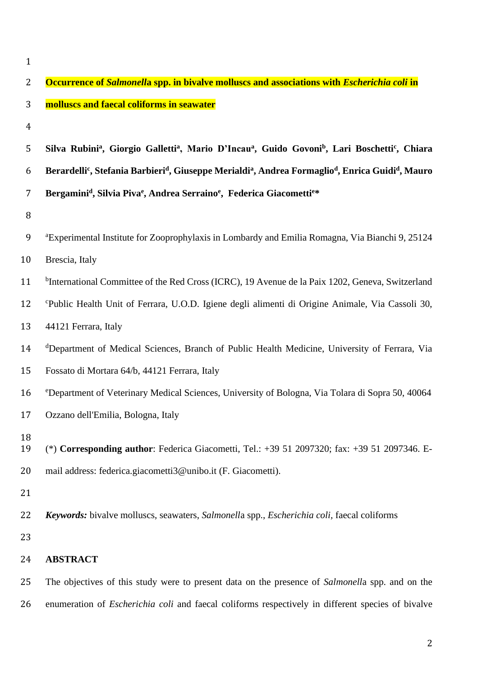1

| $\overline{2}$ | Occurrence of Salmonella spp. in bivalve molluscs and associations with Escherichia coli in                                                                   |
|----------------|---------------------------------------------------------------------------------------------------------------------------------------------------------------|
| 3              | molluscs and faecal coliforms in seawater                                                                                                                     |
| $\overline{4}$ |                                                                                                                                                               |
| 5              | Silva Rubini <sup>a</sup> , Giorgio Galletti <sup>a</sup> , Mario D'Incau <sup>a</sup> , Guido Govoni <sup>b</sup> , Lari Boschetti <sup>c</sup> , Chiara     |
| 6              | Berardelli <sup>c</sup> , Stefania Barbieri <sup>d</sup> , Giuseppe Merialdi <sup>a</sup> , Andrea Formaglio <sup>d</sup> , Enrica Guidi <sup>d</sup> , Mauro |
| 7              | Bergamini <sup>d</sup> , Silvia Piva <sup>e</sup> , Andrea Serraino <sup>e</sup> , Federica Giacomettie*                                                      |
| 8              |                                                                                                                                                               |
| 9              | <sup>a</sup> Experimental Institute for Zooprophylaxis in Lombardy and Emilia Romagna, Via Bianchi 9, 25124                                                   |
| 10             | Brescia, Italy                                                                                                                                                |
| 11             | <sup>b</sup> International Committee of the Red Cross (ICRC), 19 Avenue de la Paix 1202, Geneva, Switzerland                                                  |
| 12             | <sup>c</sup> Public Health Unit of Ferrara, U.O.D. Igiene degli alimenti di Origine Animale, Via Cassoli 30,                                                  |
| 13             | 44121 Ferrara, Italy                                                                                                                                          |
| 14             | <sup>d</sup> Department of Medical Sciences, Branch of Public Health Medicine, University of Ferrara, Via                                                     |
| 15             | Fossato di Mortara 64/b, 44121 Ferrara, Italy                                                                                                                 |
| 16             | <sup>e</sup> Department of Veterinary Medical Sciences, University of Bologna, Via Tolara di Sopra 50, 40064                                                  |
| 17             | Ozzano dell'Emilia, Bologna, Italy                                                                                                                            |
| 18<br>19       | (*) Corresponding author: Federica Giacometti, Tel.: $+39512097320$ ; fax: $+39512097346$ . E-                                                                |
| 20             | mail address: federica.giacometti3@unibo.it (F. Giacometti).                                                                                                  |
| 21             |                                                                                                                                                               |
| 22             | <b>Keywords:</b> bivalve molluscs, seawaters, Salmonella spp., <i>Escherichia coli</i> , faecal coliforms                                                     |
| 23             |                                                                                                                                                               |
| 24             | <b>ABSTRACT</b>                                                                                                                                               |
| 25             | The objectives of this study were to present data on the presence of Salmonella spp. and on the                                                               |
| 26             | enumeration of <i>Escherichia coli</i> and faecal coliforms respectively in different species of bivalve                                                      |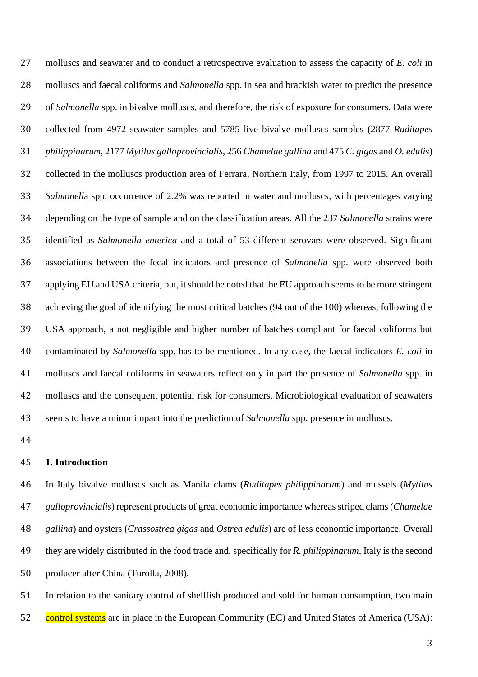molluscs and seawater and to conduct a retrospective evaluation to assess the capacity of *E. coli* in molluscs and faecal coliforms and *Salmonella* spp. in sea and brackish water to predict the presence of *Salmonella* spp. in bivalve molluscs, and therefore, the risk of exposure for consumers. Data were collected from 4972 seawater samples and 5785 live bivalve molluscs samples (2877 *Ruditapes philippinarum*, 2177 *Mytilus galloprovincialis,* 256 *Chamelae gallina* and 475 *C. gigas* and *O. edulis*) collected in the molluscs production area of Ferrara, Northern Italy, from 1997 to 2015. An overall *Salmonell*a spp. occurrence of 2.2% was reported in water and molluscs, with percentages varying depending on the type of sample and on the classification areas. All the 237 *Salmonella* strains were identified as *Salmonella enterica* and a total of 53 different serovars were observed. Significant associations between the fecal indicators and presence of *Salmonella* spp. were observed both applying EU and USA criteria, but, it should be noted that the EU approach seems to be more stringent achieving the goal of identifying the most critical batches (94 out of the 100) whereas, following the USA approach, a not negligible and higher number of batches compliant for faecal coliforms but contaminated by *Salmonella* spp. has to be mentioned. In any case, the faecal indicators *E. coli* in molluscs and faecal coliforms in seawaters reflect only in part the presence of *Salmonella* spp. in molluscs and the consequent potential risk for consumers. Microbiological evaluation of seawaters seems to have a minor impact into the prediction of *Salmonella* spp. presence in molluscs.

#### **1. Introduction**

 In Italy bivalve molluscs such as Manila clams (*Ruditapes philippinarum*) and mussels (*Mytilus galloprovincialis*) represent products of great economic importance whereas striped clams (*Chamelae gallina*) and oysters (*Crassostrea gigas* and *Ostrea edulis*) are of less economic importance. Overall they are widely distributed in the food trade and, specifically for *R. philippinarum,* Italy is the second producer after China (Turolla, 2008).

 In relation to the sanitary control of shellfish produced and sold for human consumption, two main 52 control systems are in place in the European Community (EC) and United States of America (USA):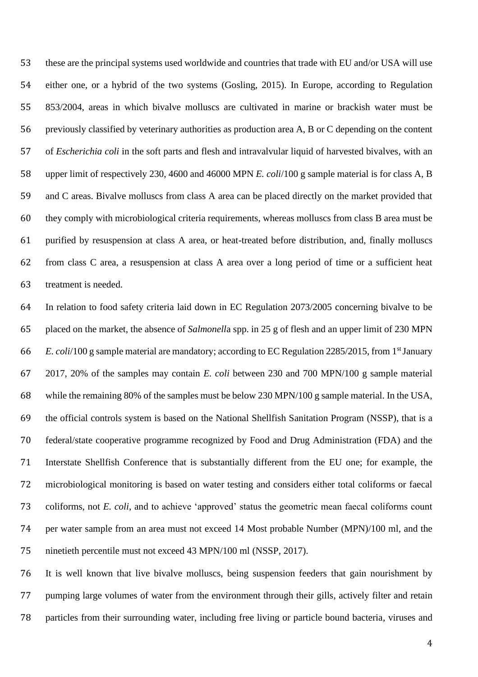these are the principal systems used worldwide and countries that trade with EU and/or USA will use either one, or a hybrid of the two systems (Gosling, 2015). In Europe, according to Regulation 853/2004, areas in which bivalve molluscs are cultivated in marine or brackish water must be previously classified by veterinary authorities as production area A, B or C depending on the content of *Escherichia coli* in the soft parts and flesh and intravalvular liquid of harvested bivalves, with an upper limit of respectively 230, 4600 and 46000 MPN *E. coli*/100 g sample material is for class A, B and C areas. Bivalve molluscs from class A area can be placed directly on the market provided that they comply with microbiological criteria requirements, whereas molluscs from class B area must be purified by resuspension at class A area, or heat-treated before distribution, and, finally molluscs from class C area, a resuspension at class A area over a long period of time or a sufficient heat treatment is needed.

 In relation to food safety criteria laid down in EC Regulation 2073/2005 concerning bivalve to be placed on the market, the absence of *Salmonell*a spp. in 25 g of flesh and an upper limit of 230 MPN *E. coli*/100 g sample material are mandatory; according to EC Regulation 2285/2015, from 1<sup>st</sup> January 2017, 20% of the samples may contain *E. coli* between 230 and 700 MPN/100 g sample material while the remaining 80% of the samples must be below 230 MPN/100 g sample material. In the USA, the official controls system is based on the National Shellfish Sanitation Program (NSSP), that is a federal/state cooperative programme recognized by Food and Drug Administration (FDA) and the Interstate Shellfish Conference that is substantially different from the EU one; for example, the microbiological monitoring is based on water testing and considers either total coliforms or faecal coliforms, not *E. coli*, and to achieve 'approved' status the geometric mean faecal coliforms count per water sample from an area must not exceed 14 Most probable Number (MPN)/100 ml, and the ninetieth percentile must not exceed 43 MPN/100 ml (NSSP, 2017).

 It is well known that live bivalve molluscs, being suspension feeders that gain nourishment by pumping large volumes of water from the environment through their gills, actively filter and retain particles from their surrounding water, including free living or particle bound bacteria, viruses and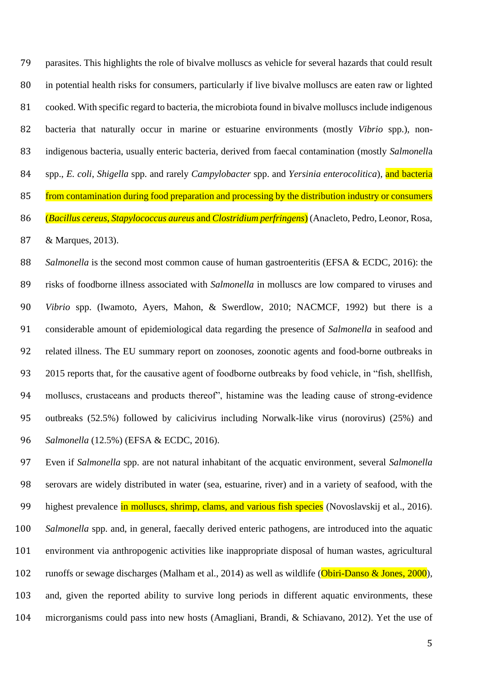parasites. This highlights the role of bivalve molluscs as vehicle for several hazards that could result in potential health risks for consumers, particularly if live bivalve molluscs are eaten raw or lighted cooked. With specific regard to bacteria, the microbiota found in bivalve molluscs include indigenous bacteria that naturally occur in marine or estuarine environments (mostly *Vibrio* spp.), non- indigenous bacteria, usually enteric bacteria, derived from faecal contamination (mostly *Salmonell*a spp., *E. coli*, *Shigella* spp. and rarely *Campylobacter* spp. and *Yersinia enterocolitica*), and bacteria 85 from contamination during food preparation and processing by the distribution industry or consumers (*Bacillus cereus*, *Stapylococcus aureus* and *Clostridium perfringens*) (Anacleto, Pedro, Leonor, Rosa, & Marques, 2013).

*Salmonella* is the second most common cause of human gastroenteritis (EFSA & ECDC, 2016): the risks of foodborne illness associated with *Salmonella* in molluscs are low compared to viruses and *Vibrio* spp. (Iwamoto, Ayers, Mahon, & Swerdlow, 2010; NACMCF, 1992) but there is a considerable amount of epidemiological data regarding the presence of *Salmonella* in seafood and related illness. The EU summary report on zoonoses, zoonotic agents and food-borne outbreaks in 2015 reports that, for the causative agent of foodborne outbreaks by food vehicle, in "fish, shellfish, molluscs, crustaceans and products thereof", histamine was the leading cause of strong-evidence outbreaks (52.5%) followed by calicivirus including Norwalk-like virus (norovirus) (25%) and *Salmonella* (12.5%) (EFSA & ECDC, 2016).

 Even if *Salmonella* spp. are not natural inhabitant of the acquatic environment, several *Salmonella* serovars are widely distributed in water (sea, estuarine, river) and in a variety of seafood, with the 99 highest prevalence in molluscs, shrimp, clams, and various fish species (Novoslavskij et al., 2016). *Salmonella* spp. and, in general, faecally derived enteric pathogens, are introduced into the aquatic environment via anthropogenic activities like inappropriate disposal of human wastes, agricultural 102 runoffs or sewage discharges (Malham et al., 2014) as well as wildlife (Obiri-Danso & Jones, 2000), and, given the reported ability to survive long periods in different aquatic environments, these microrganisms could pass into new hosts (Amagliani, Brandi, & Schiavano, 2012). Yet the use of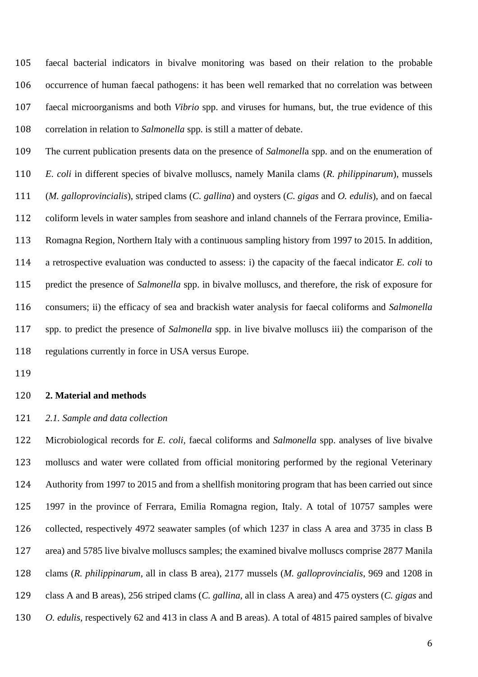faecal bacterial indicators in bivalve monitoring was based on their relation to the probable occurrence of human faecal pathogens: it has been well remarked that no correlation was between faecal microorganisms and both *Vibrio* spp. and viruses for humans, but, the true evidence of this correlation in relation to *Salmonella* spp. is still a matter of debate.

 The current publication presents data on the presence of *Salmonell*a spp. and on the enumeration of *E. coli* in different species of bivalve molluscs, namely Manila clams (*R. philippinarum*), mussels (*M. galloprovincialis*), striped clams (*C. gallina*) and oysters (*C. gigas* and *O. edulis*), and on faecal coliform levels in water samples from seashore and inland channels of the Ferrara province, Emilia- Romagna Region, Northern Italy with a continuous sampling history from 1997 to 2015. In addition, a retrospective evaluation was conducted to assess: i) the capacity of the faecal indicator *E. coli* to predict the presence of *Salmonella* spp. in bivalve molluscs, and therefore, the risk of exposure for consumers; ii) the efficacy of sea and brackish water analysis for faecal coliforms and *Salmonella* spp. to predict the presence of *Salmonella* spp. in live bivalve molluscs iii) the comparison of the regulations currently in force in USA versus Europe.

## **2. Material and methods**

#### *2.1. Sample and data collection*

 Microbiological records for *E. coli,* faecal coliforms and *Salmonella* spp. analyses of live bivalve molluscs and water were collated from official monitoring performed by the regional Veterinary Authority from 1997 to 2015 and from a shellfish monitoring program that has been carried out since 1997 in the province of Ferrara, Emilia Romagna region, Italy. A total of 10757 samples were collected, respectively 4972 seawater samples (of which 1237 in class A area and 3735 in class B area) and 5785 live bivalve molluscs samples; the examined bivalve molluscs comprise 2877 Manila clams (*R. philippinarum,* all in class B area), 2177 mussels (*M. galloprovincialis,* 969 and 1208 in class A and B areas), 256 striped clams (*C. gallina,* all in class A area) and 475 oysters (*C. gigas* and *O. edulis,* respectively 62 and 413 in class A and B areas). A total of 4815 paired samples of bivalve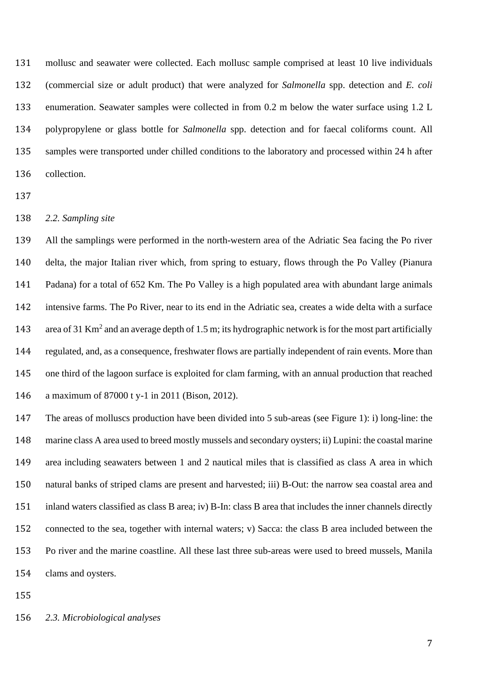mollusc and seawater were collected. Each mollusc sample comprised at least 10 live individuals (commercial size or adult product) that were analyzed for *Salmonella* spp. detection and *E. coli* enumeration. Seawater samples were collected in from 0.2 m below the water surface using 1.2 L polypropylene or glass bottle for *Salmonella* spp. detection and for faecal coliforms count. All samples were transported under chilled conditions to the laboratory and processed within 24 h after collection.

## *2.2. Sampling site*

 All the samplings were performed in the north-western area of the Adriatic Sea facing the Po river delta, the major Italian river which, from spring to estuary, flows through the Po Valley (Pianura Padana) for a total of 652 Km. The Po Valley is a high populated area with abundant large animals intensive farms. The Po River, near to its end in the Adriatic sea, creates a wide delta with a surface 143 area of 31 Km<sup>2</sup> and an average depth of 1.5 m; its hydrographic network is for the most part artificially regulated, and, as a consequence, freshwater flows are partially independent of rain events. More than one third of the lagoon surface is exploited for clam farming, with an annual production that reached a maximum of 87000 t y-1 in 2011 (Bison, 2012).

 The areas of molluscs production have been divided into 5 sub-areas (see Figure 1): i) long-line: the marine class A area used to breed mostly mussels and secondary oysters; ii) Lupini: the coastal marine area including seawaters between 1 and 2 nautical miles that is classified as class A area in which natural banks of striped clams are present and harvested; iii) B-Out: the narrow sea coastal area and inland waters classified as class B area; iv) B-In: class B area that includes the inner channels directly connected to the sea, together with internal waters; v) Sacca: the class B area included between the Po river and the marine coastline. All these last three sub-areas were used to breed mussels, Manila clams and oysters.

## *2.3. Microbiological analyses*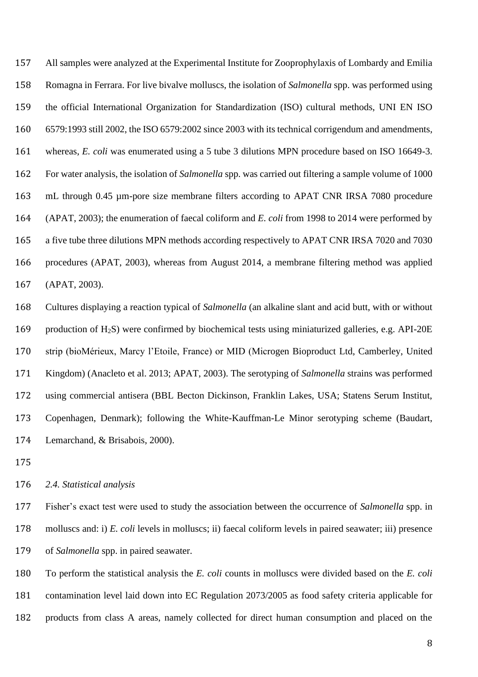All samples were analyzed at the Experimental Institute for Zooprophylaxis of Lombardy and Emilia Romagna in Ferrara. For live bivalve molluscs, the isolation of *Salmonella* spp. was performed using the official International Organization for Standardization (ISO) cultural methods, UNI EN ISO 6579:1993 still 2002, the ISO 6579:2002 since 2003 with its technical corrigendum and amendments, whereas, *E. coli* was enumerated using a 5 tube 3 dilutions MPN procedure based on ISO 16649-3. For water analysis, the isolation of *Salmonella* spp. was carried out filtering a sample volume of 1000 mL through 0.45 µm-pore size membrane filters according to APAT CNR IRSA 7080 procedure (APAT, 2003); the enumeration of faecal coliform and *E. coli* from 1998 to 2014 were performed by a five tube three dilutions MPN methods according respectively to APAT CNR IRSA 7020 and 7030 procedures (APAT, 2003), whereas from August 2014, a membrane filtering method was applied (APAT, 2003).

 Cultures displaying a reaction typical of *Salmonella* (an alkaline slant and acid butt, with or without production of H2S) were confirmed by biochemical tests using miniaturized galleries, e.g. API-20E strip (bioMérieux, Marcy l'Etoile, France) or MID (Microgen Bioproduct Ltd, Camberley, United Kingdom) (Anacleto et al. 2013; APAT, 2003). The serotyping of *Salmonella* strains was performed using commercial antisera (BBL Becton Dickinson, Franklin Lakes, USA; Statens Serum Institut, Copenhagen, Denmark); following the White-Kauffman-Le Minor serotyping scheme (Baudart, Lemarchand, & Brisabois, 2000).

## *2.4. Statistical analysis*

 Fisher's exact test were used to study the association between the occurrence of *Salmonella* spp. in molluscs and: i) *E. coli* levels in molluscs; ii) faecal coliform levels in paired seawater; iii) presence of *Salmonella* spp. in paired seawater.

 To perform the statistical analysis the *E. coli* counts in molluscs were divided based on the *E. coli*  contamination level laid down into EC Regulation 2073/2005 as food safety criteria applicable for products from class A areas, namely collected for direct human consumption and placed on the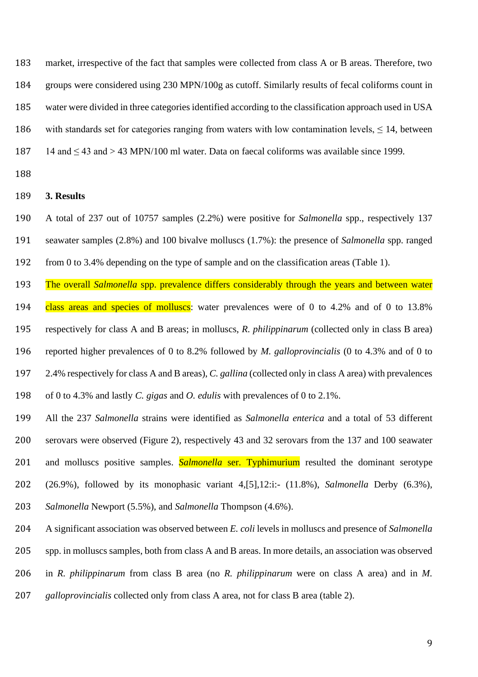market, irrespective of the fact that samples were collected from class A or B areas. Therefore, two groups were considered using 230 MPN/100g as cutoff. Similarly results of fecal coliforms count in water were divided in three categories identified according to the classification approach used in USA 186 with standards set for categories ranging from waters with low contamination levels,  $\leq 14$ , between 187 14 and  $\leq$  43 and  $>$  43 MPN/100 ml water. Data on faecal coliforms was available since 1999.

#### **3. Results**

 A total of 237 out of 10757 samples (2.2%) were positive for *Salmonella* spp., respectively 137 seawater samples (2.8%) and 100 bivalve molluscs (1.7%): the presence of *Salmonella* spp. ranged

from 0 to 3.4% depending on the type of sample and on the classification areas (Table 1).

 The overall *Salmonella* spp. prevalence differs considerably through the years and between water 194 class areas and species of molluscs: water prevalences were of 0 to 4.2% and of 0 to 13.8% respectively for class A and B areas; in molluscs, *R. philippinarum* (collected only in class B area) reported higher prevalences of 0 to 8.2% followed by *M. galloprovincialis* (0 to 4.3% and of 0 to 2.4% respectively for class A and B areas), *C. gallina* (collected only in class A area) with prevalences of 0 to 4.3% and lastly *C. gigas* and *O. edulis* with prevalences of 0 to 2.1%.

 All the 237 *Salmonella* strains were identified as *Salmonella enterica* and a total of 53 different serovars were observed (Figure 2), respectively 43 and 32 serovars from the 137 and 100 seawater and molluscs positive samples. *Salmonella* ser. Typhimurium resulted the dominant serotype (26.9%), followed by its monophasic variant 4,[5],12:i:- (11.8%), *Salmonella* Derby (6.3%), *Salmonella* Newport (5.5%), and *Salmonella* Thompson (4.6%).

A significant association was observed between *E. coli* levels in molluscs and presence of *Salmonella*

spp. in molluscs samples, both from class A and B areas. In more details, an association was observed

in *R. philippinarum* from class B area (no *R. philippinarum* were on class A area) and in *M.* 

*galloprovincialis* collected only from class A area, not for class B area (table 2).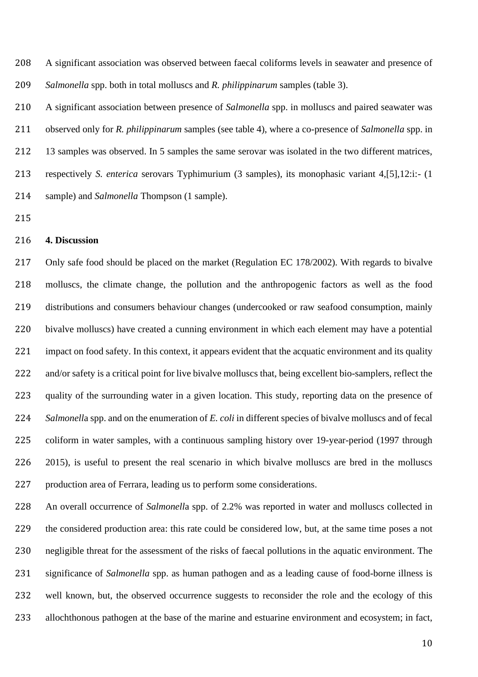A significant association was observed between faecal coliforms levels in seawater and presence of *Salmonella* spp. both in total molluscs and *R. philippinarum* samples (table 3).

 A significant association between presence of *Salmonella* spp. in molluscs and paired seawater was observed only for *R. philippinarum* samples (see table 4), where a co-presence of *Salmonella* spp. in 13 samples was observed. In 5 samples the same serovar was isolated in the two different matrices, respectively *S. enterica* serovars Typhimurium (3 samples), its monophasic variant 4,[5],12:i:- (1 sample) and *Salmonella* Thompson (1 sample).

# **4. Discussion**

 Only safe food should be placed on the market (Regulation EC 178/2002). With regards to bivalve molluscs, the climate change, the pollution and the anthropogenic factors as well as the food distributions and consumers behaviour changes (undercooked or raw seafood consumption, mainly bivalve molluscs) have created a cunning environment in which each element may have a potential 221 impact on food safety. In this context, it appears evident that the acquatic environment and its quality 222 and/or safety is a critical point for live bivalve molluscs that, being excellent bio-samplers, reflect the quality of the surrounding water in a given location. This study, reporting data on the presence of *Salmonell*a spp. and on the enumeration of *E. coli* in different species of bivalve molluscs and of fecal coliform in water samples, with a continuous sampling history over 19-year-period (1997 through 2015), is useful to present the real scenario in which bivalve molluscs are bred in the molluscs production area of Ferrara, leading us to perform some considerations.

 An overall occurrence of *Salmonell*a spp. of 2.2% was reported in water and molluscs collected in the considered production area: this rate could be considered low, but, at the same time poses a not negligible threat for the assessment of the risks of faecal pollutions in the aquatic environment. The significance of *Salmonella* spp. as human pathogen and as a leading cause of food-borne illness is well known, but, the observed occurrence suggests to reconsider the role and the ecology of this allochthonous pathogen at the base of the marine and estuarine environment and ecosystem; in fact,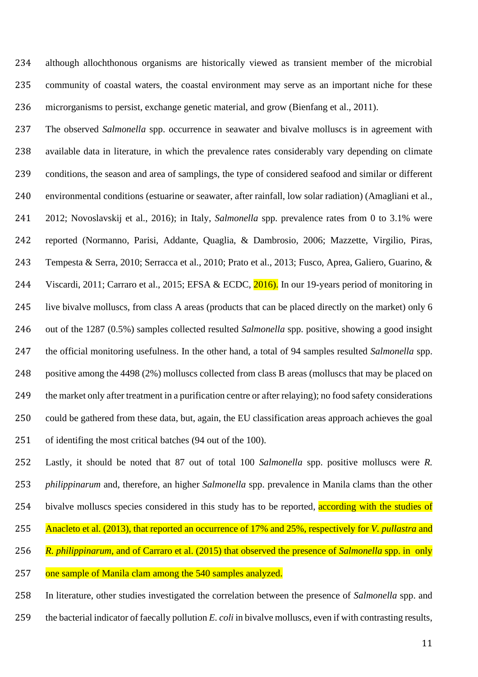although allochthonous organisms are historically viewed as transient member of the microbial community of coastal waters, the coastal environment may serve as an important niche for these microrganisms to persist, exchange genetic material, and grow (Bienfang et al., 2011).

 The observed *Salmonella* spp. occurrence in seawater and bivalve molluscs is in agreement with available data in literature, in which the prevalence rates considerably vary depending on climate conditions, the season and area of samplings, the type of considered seafood and similar or different environmental conditions (estuarine or seawater, after rainfall, low solar radiation) (Amagliani et al., 2012; Novoslavskij et al., 2016); in Italy, *Salmonella* spp. prevalence rates from 0 to 3.1% were reported (Normanno, Parisi, Addante, Quaglia, & Dambrosio, 2006; Mazzette, Virgilio, Piras, Tempesta & Serra, 2010; Serracca et al., 2010; Prato et al., 2013; Fusco, Aprea, Galiero, Guarino, & 244 Viscardi, 2011; Carraro et al., 2015; EFSA & ECDC, 2016). In our 19-years period of monitoring in live bivalve molluscs, from class A areas (products that can be placed directly on the market) only 6 out of the 1287 (0.5%) samples collected resulted *Salmonella* spp. positive, showing a good insight the official monitoring usefulness. In the other hand, a total of 94 samples resulted *Salmonella* spp. positive among the 4498 (2%) molluscs collected from class B areas (molluscs that may be placed on the market only after treatment in a purification centre or after relaying); no food safety considerations could be gathered from these data, but, again, the EU classification areas approach achieves the goal of identifing the most critical batches (94 out of the 100).

 Lastly, it should be noted that 87 out of total 100 *Salmonella* spp. positive molluscs were *R. philippinarum* and, therefore, an higher *Salmonella* spp. prevalence in Manila clams than the other 254 bivalve molluscs species considered in this study has to be reported, according with the studies of Anacleto et al. (2013), that reported an occurrence of 17% and 25%, respectively for *V. pullastra* and *R. philippinarum*, and of Carraro et al. (2015) that observed the presence of *Salmonella* spp. in only

one sample of Manila clam among the 540 samples analyzed.

 In literature, other studies investigated the correlation between the presence of *Salmonella* spp. and the bacterial indicator of faecally pollution *E. coli* in bivalve molluscs, even if with contrasting results,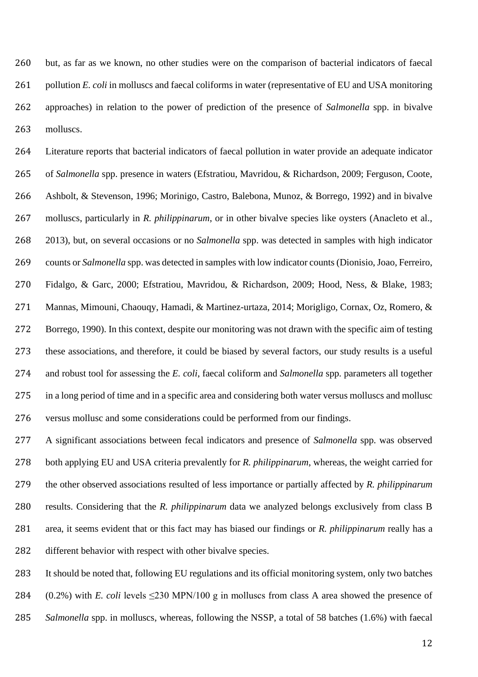but, as far as we known, no other studies were on the comparison of bacterial indicators of faecal pollution *E. coli* in molluscs and faecal coliforms in water (representative of EU and USA monitoring approaches) in relation to the power of prediction of the presence of *Salmonella* spp. in bivalve molluscs.

 Literature reports that bacterial indicators of faecal pollution in water provide an adequate indicator of *Salmonella* spp. presence in waters (Efstratiou, Mavridou, & Richardson, 2009; Ferguson, Coote, Ashbolt, & Stevenson, 1996; Morinigo, Castro, Balebona, Munoz, & Borrego, 1992) and in bivalve molluscs, particularly in *R. philippinarum*, or in other bivalve species like oysters (Anacleto et al., 2013), but, on several occasions or no *Salmonella* spp. was detected in samples with high indicator counts or *Salmonella* spp. was detected in samples with low indicator counts (Dionisio, Joao, Ferreiro, Fidalgo, & Garc, 2000; Efstratiou, Mavridou, & Richardson, 2009; Hood, Ness, & Blake, 1983; Mannas, Mimouni, Chaouqy, Hamadi, & Martinez-urtaza, 2014; Morigligo, Cornax, Oz, Romero, & Borrego, 1990). In this context, despite our monitoring was not drawn with the specific aim of testing these associations, and therefore, it could be biased by several factors, our study results is a useful and robust tool for assessing the *E. coli*, faecal coliform and *Salmonella* spp. parameters all together in a long period of time and in a specific area and considering both water versus molluscs and mollusc versus mollusc and some considerations could be performed from our findings.

 A significant associations between fecal indicators and presence of *Salmonella* spp. was observed both applying EU and USA criteria prevalently for *R. philippinarum*, whereas, the weight carried for the other observed associations resulted of less importance or partially affected by *R. philippinarum*  results. Considering that the *R. philippinarum* data we analyzed belongs exclusively from class B area, it seems evident that or this fact may has biased our findings or *R. philippinarum* really has a different behavior with respect with other bivalve species.

 It should be noted that, following EU regulations and its official monitoring system, only two batches 284 (0.2%) with *E. coli* levels  $\leq$ 230 MPN/100 g in molluscs from class A area showed the presence of *Salmonella* spp. in molluscs, whereas, following the NSSP, a total of 58 batches (1.6%) with faecal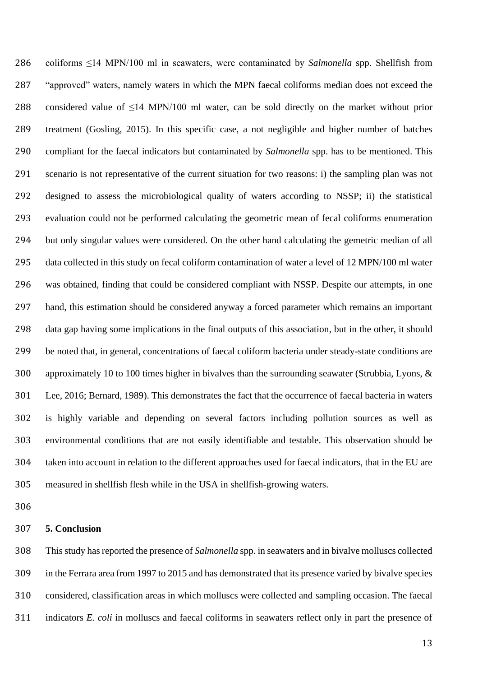coliforms ≤14 MPN/100 ml in seawaters, were contaminated by *Salmonella* spp. Shellfish from "approved" waters, namely waters in which the MPN faecal coliforms median does not exceed the considered value of ≤14 MPN/100 ml water, can be sold directly on the market without prior treatment (Gosling, 2015). In this specific case, a not negligible and higher number of batches compliant for the faecal indicators but contaminated by *Salmonella* spp. has to be mentioned. This scenario is not representative of the current situation for two reasons: i) the sampling plan was not designed to assess the microbiological quality of waters according to NSSP; ii) the statistical evaluation could not be performed calculating the geometric mean of fecal coliforms enumeration but only singular values were considered. On the other hand calculating the gemetric median of all data collected in this study on fecal coliform contamination of water a level of 12 MPN/100 ml water was obtained, finding that could be considered compliant with NSSP. Despite our attempts, in one hand, this estimation should be considered anyway a forced parameter which remains an important data gap having some implications in the final outputs of this association, but in the other, it should be noted that, in general, concentrations of faecal coliform bacteria under steady-state conditions are approximately 10 to 100 times higher in bivalves than the surrounding seawater (Strubbia, Lyons, & Lee, 2016; Bernard, 1989). This demonstrates the fact that the occurrence of faecal bacteria in waters is highly variable and depending on several factors including pollution sources as well as environmental conditions that are not easily identifiable and testable. This observation should be taken into account in relation to the different approaches used for faecal indicators, that in the EU are measured in shellfish flesh while in the USA in shellfish-growing waters.

#### **5. Conclusion**

 This study has reported the presence of *Salmonella* spp. in seawaters and in bivalve molluscs collected in the Ferrara area from 1997 to 2015 and has demonstrated that its presence varied by bivalve species considered, classification areas in which molluscs were collected and sampling occasion. The faecal indicators *E. coli* in molluscs and faecal coliforms in seawaters reflect only in part the presence of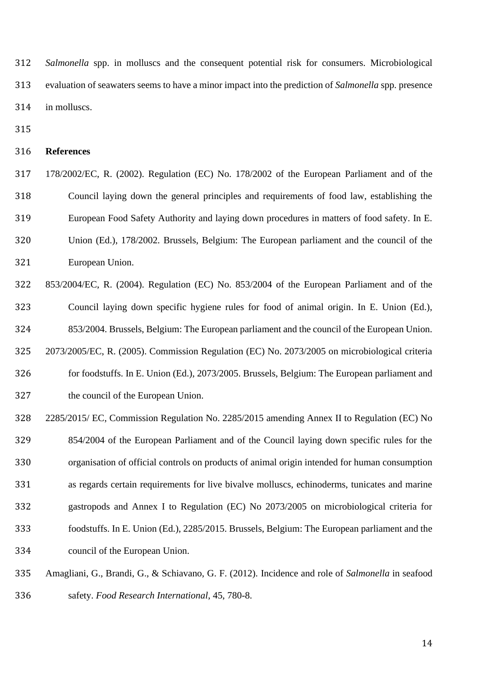*Salmonella* spp. in molluscs and the consequent potential risk for consumers. Microbiological evaluation of seawaters seems to have a minor impact into the prediction of *Salmonella* spp. presence in molluscs.

#### **References**

 178/2002/EC, R. (2002). Regulation (EC) No. 178/2002 of the European Parliament and of the Council laying down the general principles and requirements of food law, establishing the European Food Safety Authority and laying down procedures in matters of food safety. In E. Union (Ed.), 178/2002. Brussels, Belgium: The European parliament and the council of the European Union.

 853/2004/EC, R. (2004). Regulation (EC) No. 853/2004 of the European Parliament and of the Council laying down specific hygiene rules for food of animal origin. In E. Union (Ed.), 853/2004. Brussels, Belgium: The European parliament and the council of the European Union. 2073/2005/EC, R. (2005). Commission Regulation (EC) No. 2073/2005 on microbiological criteria

 for foodstuffs. In E. Union (Ed.), 2073/2005. Brussels, Belgium: The European parliament and the council of the European Union.

 2285/2015/ EC, Commission Regulation No. 2285/2015 amending Annex II to Regulation (EC) No 854/2004 of the European Parliament and of the Council laying down specific rules for the organisation of official controls on products of animal origin intended for human consumption as regards certain requirements for live bivalve molluscs, echinoderms, tunicates and marine gastropods and Annex I to Regulation (EC) No 2073/2005 on microbiological criteria for foodstuffs. In E. Union (Ed.), 2285/2015. Brussels, Belgium: The European parliament and the council of the European Union.

 Amagliani, G., Brandi, G., & Schiavano, G. F. (2012). Incidence and role of *Salmonella* in seafood safety. *Food Research International*, 45, 780-8.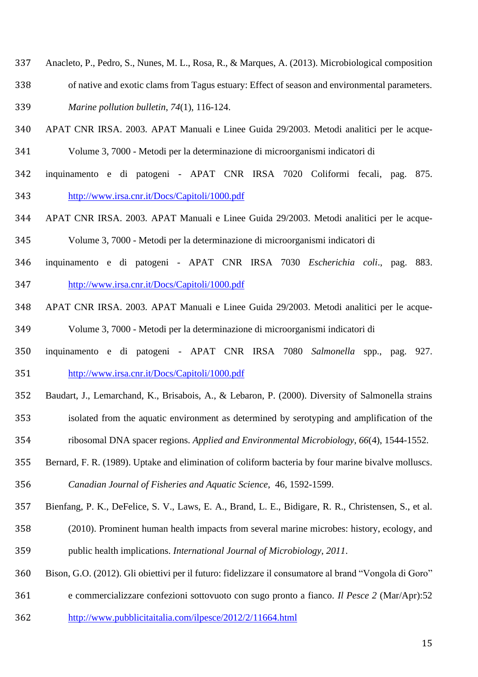- Anacleto, P., Pedro, S., Nunes, M. L., Rosa, R., & Marques, A. (2013). Microbiological composition
- of native and exotic clams from Tagus estuary: Effect of season and environmental parameters. *Marine pollution bulletin*, *74*(1), 116-124.
- APAT CNR IRSA. 2003. APAT Manuali e Linee Guida 29/2003. Metodi analitici per le acque-Volume 3, 7000 - Metodi per la determinazione di microorganismi indicatori di
- inquinamento e di patogeni APAT CNR IRSA 7020 Coliformi fecali, pag. 875. <http://www.irsa.cnr.it/Docs/Capitoli/1000.pdf>
- APAT CNR IRSA. 2003. APAT Manuali e Linee Guida 29/2003. Metodi analitici per le acque-

Volume 3, 7000 - Metodi per la determinazione di microorganismi indicatori di

- inquinamento e di patogeni APAT CNR IRSA 7030 *Escherichia coli*., pag. 883. <http://www.irsa.cnr.it/Docs/Capitoli/1000.pdf>
- APAT CNR IRSA. 2003. APAT Manuali e Linee Guida 29/2003. Metodi analitici per le acque-Volume 3, 7000 - Metodi per la determinazione di microorganismi indicatori di
- inquinamento e di patogeni APAT CNR IRSA 7080 *Salmonella* spp., pag. 927. <http://www.irsa.cnr.it/Docs/Capitoli/1000.pdf>
- Baudart, J., Lemarchand, K., Brisabois, A., & Lebaron, P. (2000). Diversity of Salmonella strains isolated from the aquatic environment as determined by serotyping and amplification of the
- ribosomal DNA spacer regions. *Applied and Environmental Microbiology*, *66*(4), 1544-1552.
- Bernard, F. R. (1989). Uptake and elimination of coliform bacteria by four marine bivalve molluscs. *Canadian Journal of Fisheries and Aquatic Science*, 46, 1592-1599.
- Bienfang, P. K., DeFelice, S. V., Laws, E. A., Brand, L. E., Bidigare, R. R., Christensen, S., et al.
- (2010). Prominent human health impacts from several marine microbes: history, ecology, and public health implications. *International Journal of Microbiology*, *2011*.
- Bison, G.O. (2012). Gli obiettivi per il futuro: fidelizzare il consumatore al brand "Vongola di Goro"
- e commercializzare confezioni sottovuoto con sugo pronto a fianco. *Il Pesce 2* (Mar/Apr):52
- <http://www.pubblicitaitalia.com/ilpesce/2012/2/11664.html>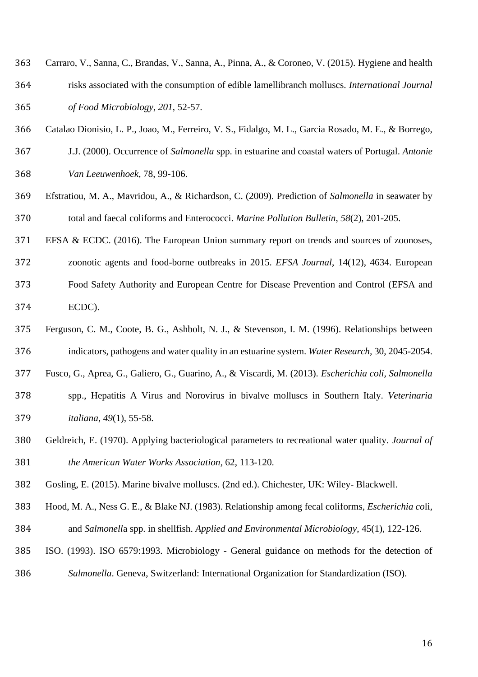- Carraro, V., Sanna, C., Brandas, V., Sanna, A., Pinna, A., & Coroneo, V. (2015). Hygiene and health risks associated with the consumption of edible lamellibranch molluscs. *International Journal of Food Microbiology*, *201*, 52-57.
- Catalao Dionisio, L. P., Joao, M., Ferreiro, V. S., Fidalgo, M. L., Garcia Rosado, M. E., & Borrego,
- J.J. (2000). Occurrence of *Salmonella* spp. in estuarine and coastal waters of Portugal. *Antonie Van Leeuwenhoek*, 78, 99-106.
- Efstratiou, M. A., Mavridou, A., & Richardson, C. (2009). Prediction of *Salmonella* in seawater by total and faecal coliforms and Enterococci. *Marine Pollution Bulletin*, *58*(2), 201-205.
- EFSA & ECDC. (2016). The European Union summary report on trends and sources of zoonoses,
- zoonotic agents and food-borne outbreaks in 2015. *EFSA Journal*, 14(12), 4634. European
- Food Safety Authority and European Centre for Disease Prevention and Control (EFSA and ECDC).
- Ferguson, C. M., Coote, B. G., Ashbolt, N. J., & Stevenson, I. M. (1996). Relationships between indicators, pathogens and water quality in an estuarine system. *Water Research,* 30, 2045-2054.
- Fusco, G., Aprea, G., Galiero, G., Guarino, A., & Viscardi, M. (2013). *Escherichia coli, Salmonella*
- spp., Hepatitis A Virus and Norovirus in bivalve molluscs in Southern Italy. *Veterinaria italiana*, *49*(1), 55-58.
- Geldreich, E. (1970). Applying bacteriological parameters to recreational water quality. *Journal of the American Water Works Association,* 62, 113-120.
- Gosling, E. (2015). Marine bivalve molluscs. (2nd ed.). Chichester, UK: Wiley- Blackwell.
- Hood, M. A., Ness G. E., & Blake NJ. (1983). Relationship among fecal coliforms, *Escherichia co*li, and *Salmonell*a spp. in shellfish. *Applied and Environmental Microbiology*, 45(1), 122-126.
- ISO. (1993). ISO 6579:1993. Microbiology General guidance on methods for the detection of *Salmonella*. Geneva, Switzerland: International Organization for Standardization (ISO).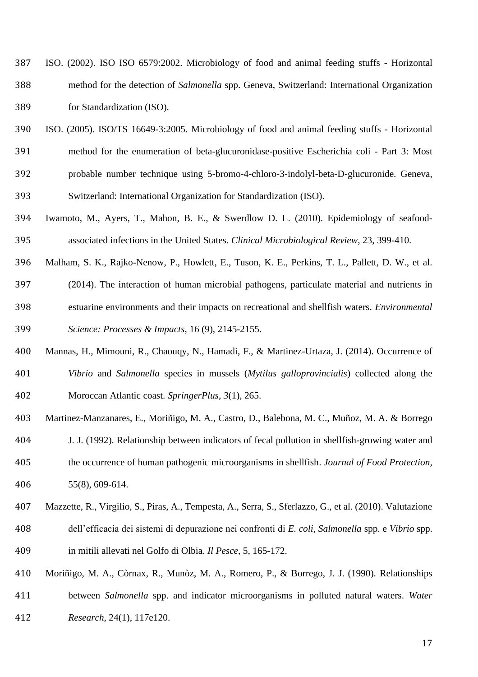- ISO. (2002). ISO ISO 6579:2002. Microbiology of food and animal feeding stuffs Horizontal method for the detection of *Salmonella* spp. Geneva, Switzerland: International Organization for Standardization (ISO).
- ISO. (2005). ISO/TS 16649-3:2005. Microbiology of food and animal feeding stuffs Horizontal method for the enumeration of beta-glucuronidase-positive Escherichia coli - Part 3: Most probable number technique using 5-bromo-4-chloro-3-indolyl-beta-D-glucuronide. Geneva, Switzerland: International Organization for Standardization (ISO).
- Iwamoto, M., Ayers, T., Mahon, B. E., & Swerdlow D. L. (2010). Epidemiology of seafood-associated infections in the United States. *Clinical Microbiological Review*, 23, 399-410.
- Malham, S. K., Rajko-Nenow, P., Howlett, E., Tuson, K. E., Perkins, T. L., Pallett, D. W., et al. (2014). The interaction of human microbial pathogens, particulate material and nutrients in estuarine environments and their impacts on recreational and shellfish waters. *Environmental Science: Processes & Impacts*, 16 (9), 2145-2155.
- Mannas, H., Mimouni, R., Chaouqy, N., Hamadi, F., & Martinez-Urtaza, J. (2014). Occurrence of *Vibrio* and *Salmonella* species in mussels (*Mytilus galloprovincialis*) collected along the Moroccan Atlantic coast. *SpringerPlus*, *3*(1), 265.
- Martinez-Manzanares, E., Moriñigo, M. A., Castro, D., Balebona, M. C., Muñoz, M. A. & Borrego
- J. J. (1992). Relationship between indicators of fecal pollution in shellfish-growing water and the occurrence of human pathogenic microorganisms in shellfish. *Journal of Food Protection,*  55(8), 609-614.
- Mazzette, R., Virgilio, S., Piras, A., Tempesta, A., Serra, S., Sferlazzo, G., et al. (2010). Valutazione dell'efficacia dei sistemi di depurazione nei confronti di *E. coli, Salmonella* spp. e *Vibrio* spp. in mitili allevati nel Golfo di Olbia. *Il Pesce*, 5, 165-172.
- Moriñigo, M. A., Còrnax, R., Munòz, M. A., Romero, P., & Borrego, J. J. (1990). Relationships between *Salmonella* spp. and indicator microorganisms in polluted natural waters. *Water Research*, 24(1), 117e120.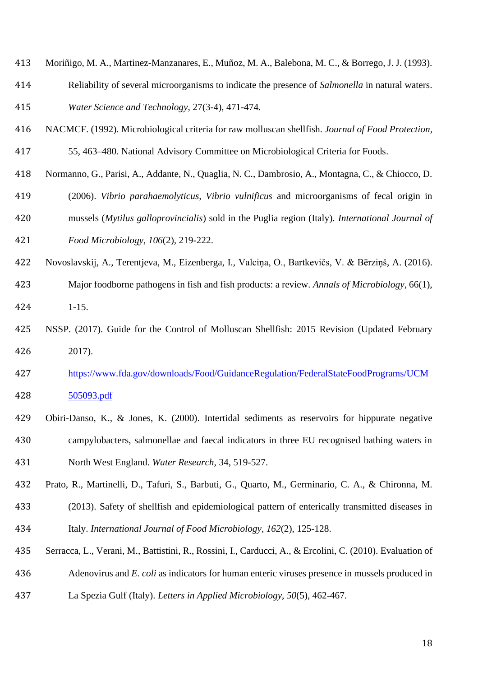- Moriñigo, M. A., Martinez-Manzanares, E., Muñoz, M. A., Balebona, M. C., & Borrego, J. J. (1993).
- Reliability of several microorganisms to indicate the presence of *Salmonella* in natural waters. *Water Science and Technology*, 27(3-4), 471-474.
- NACMCF. (1992). Microbiological criteria for raw molluscan shellfish. *Journal of Food Protection*,
- 55, 463–480. National Advisory Committee on Microbiological Criteria for Foods.
- Normanno, G., Parisi, A., Addante, N., Quaglia, N. C., Dambrosio, A., Montagna, C., & Chiocco, D.
- (2006). *Vibrio parahaemolyticus, Vibrio vulnificus* and microorganisms of fecal origin in mussels (*Mytilus galloprovincialis*) sold in the Puglia region (Italy). *International Journal of*
- *Food Microbiology*, *106*(2), 219-222.
- Novoslavskij, A., Terentjeva, M., Eizenberga, I., Valciņa, O., Bartkevičs, V. & Bērziņš, A. (2016).
- Major foodborne pathogens in fish and fish products: a review. *Annals of Microbiology*, 66(1), 1-15.
- NSSP. (2017). Guide for the Control of Molluscan Shellfish: 2015 Revision (Updated February 2017).
- [https://www.fda.gov/downloads/Food/GuidanceRegulation/FederalStateFoodPrograms/UCM](https://www.fda.gov/downloads/Food/GuidanceRegulation/FederalStateFoodPrograms/UCM505093.pdf) [505093.pdf](https://www.fda.gov/downloads/Food/GuidanceRegulation/FederalStateFoodPrograms/UCM505093.pdf)
- Obiri-Danso, K., & Jones, K. (2000). Intertidal sediments as reservoirs for hippurate negative campylobacters, salmonellae and faecal indicators in three EU recognised bathing waters in North West England. *Water Research*, 34, 519-527.
- Prato, R., Martinelli, D., Tafuri, S., Barbuti, G., Quarto, M., Germinario, C. A., & Chironna, M.
- (2013). Safety of shellfish and epidemiological pattern of enterically transmitted diseases in Italy. *International Journal of Food Microbiology*, *162*(2), 125-128.
- Serracca, L., Verani, M., Battistini, R., Rossini, I., Carducci, A., & Ercolini, C. (2010). Evaluation of Adenovirus and *E. coli* as indicators for human enteric viruses presence in mussels produced in La Spezia Gulf (Italy). *Letters in Applied Microbiology*, *50*(5), 462-467.